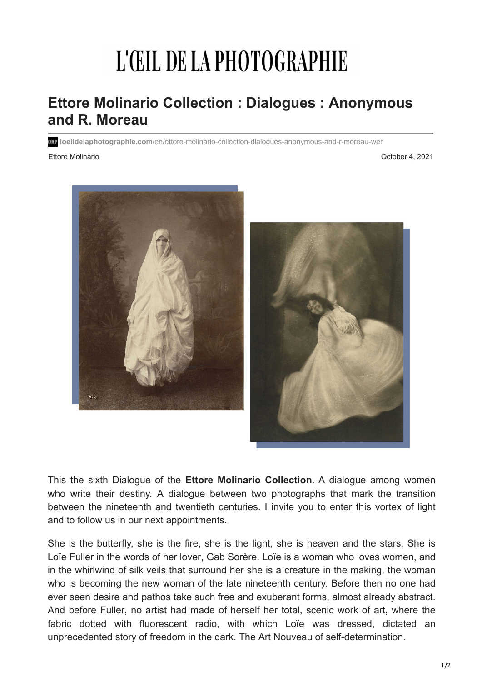## L'ŒIL DE LA PHOTOGRAPHIE

## **Ettore Molinario Collection : Dialogues : Anonymous and R. Moreau**

**loeildelaphotographie.com**[/en/ettore-molinario-collection-dialogues-anonymous-and-r-moreau-wer](https://loeildelaphotographie.com/en/ettore-molinario-collection-dialogues-anonymous-and-r-moreau-wer/?ct=t(Newsletter+EN+10042021))

Ettore Molinario October 4, 2021



This the sixth Dialogue of the **Ettore Molinario Collection**. A dialogue among women who write their destiny. A dialogue between two photographs that mark the transition between the nineteenth and twentieth centuries. I invite you to enter this vortex of light and to follow us in our next appointments.

She is the butterfly, she is the fire, she is the light, she is heaven and the stars. She is Loïe Fuller in the words of her lover, Gab Sorère. Loïe is a woman who loves women, and in the whirlwind of silk veils that surround her she is a creature in the making, the woman who is becoming the new woman of the late nineteenth century. Before then no one had ever seen desire and pathos take such free and exuberant forms, almost already abstract. And before Fuller, no artist had made of herself her total, scenic work of art, where the fabric dotted with fluorescent radio, with which Loïe was dressed, dictated an unprecedented story of freedom in the dark. The Art Nouveau of self-determination.